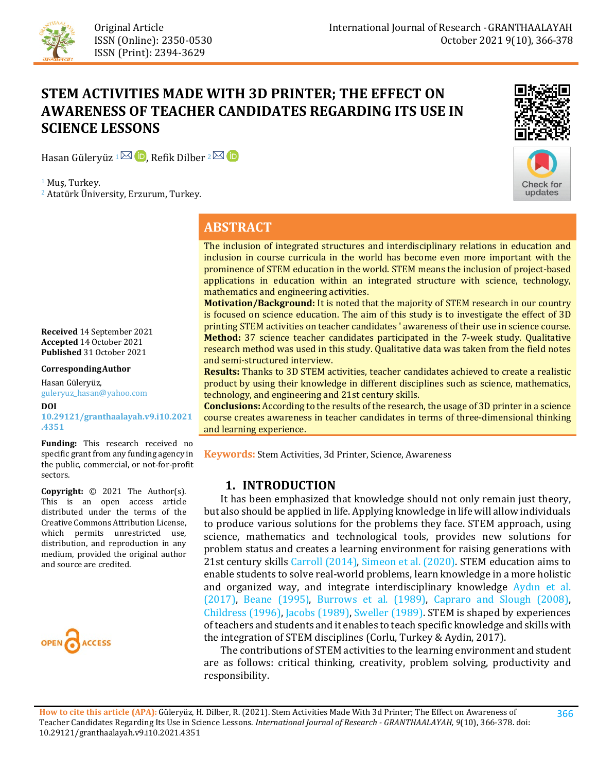

# **STEM ACTIVITIES MADE WITH 3D PRINTER; THE EFFECT ON AWARENESS OF TEACHER CANDIDATES REGARDING ITS USE IN SCIENCE LESSONS**

Hasan Güleryüz  $1 \boxtimes$  D. Refik Dilber  $2 \boxtimes$  D

<sup>1</sup> Muş, Turkey.

<sup>2</sup> Atatürk Üniversity, Erzurum, Turkey.





## **ABSTRACT**

The inclusion of integrated structures and interdisciplinary relations in education and inclusion in course curricula in the world has become even more important with the prominence of STEM education in the world. STEM means the inclusion of project-based applications in education within an integrated structure with science, technology, mathematics and engineering activities.

**Motivation/Background:** It is noted that the majority of STEM research in our country is focused on science education. The aim of this study is to investigate the effect of 3D printing STEM activities on teacher candidates ' awareness of their use in science course. **Method:** 37 science teacher candidates participated in the 7-week study. Qualitative research method was used in this study. Qualitative data was taken from the field notes and semi-structured interview.

**Results:** Thanks to 3D STEM activities, teacher candidates achieved to create a realistic product by using their knowledge in different disciplines such as science, mathematics, technology, and engineering and 21st century skills.

**Conclusions:** According to the results of the research, the usage of 3D printer in a science course creates awareness in teacher candidates in terms of three-dimensional thinking and learning experience.

**Keywords:** Stem Activities, 3d Printer, Science, Awareness

## **1. INTRODUCTION**

 It has been emphasized that knowledge should not only remain just theory, but also should be applied in life. Applying knowledge in life will allow individuals to produce various solutions for the problems they face. STEM approach, using science, mathematics and technological tools, provides new solutions for problem status and creates a learning environment for raising generations with 21st century skills [Carroll \(2014\),](#page-11-0) [Simeon et al. \(2020\).](#page-12-0) STEM education aims to enable students to solve real-world problems, learn knowledge in a more holistic and organized way, and integrate interdisciplinary knowledge [Aydın et al.](#page-10-0)  [\(2017\),](#page-10-0) [Beane \(1995](#page-10-1)[\)](#page-10-1), [Burrows et al. \(1989\),](#page-11-1) [Capraro and Slough \(2008\),](#page-11-2)  [Childress \(1996\),](#page-11-3) [Jacobs \(1989\),](#page-12-1) [Sweller \(1989\).](#page-12-2) STEM is shaped by experiences of teachers and students and it enables to teach specific knowledge and skills with the integration of STEM disciplines (Corlu, Turkey & Aydin, 2017).

 The contributions of STEM activities to the learning environment and student are as follows: critical thinking, creativity, problem solving, productivity and responsibility.

**How to cite this article (APA):** Güleryüz, H. Dilber, R. (2021). Stem Activities Made With 3d Printer; The Effect on Awareness of Teacher Candidates Regarding Its Use in Science Lessons. *International Journal of Research - GRANTHAALAYAH, 9*(10), 366-378. [doi:](https://doi.org/10.29121/granthaalayah.v9.i6.2021.3923) [10.29121/granthaalayah.v9.i10.2021.4351](https://dx.doi.org/10.29121/granthaalayah.v9.i10.2021.4351)

**Received** 14 September 2021 **Accepted** 14 October 2021 **Published** 31 October 2021

#### **CorrespondingAuthor**

Hasan Güleryüz, guleryuz\_hasan@yahoo.com

**DOI [10.29121/granthaalayah.v9.i10.2021](https://dx.doi.org/10.29121/granthaalayah.v9.i10.2021.4351) [.4351](https://dx.doi.org/10.29121/granthaalayah.v9.i10.2021.4351)**

**Funding:** This research received no specific grant from any funding agency in the public, commercial, or not-for-profit sectors.

**Copyright:** © 2021 The Author(s). This is an open access article distributed under the terms of the Creative Commons Attribution License, which permits unrestricted use, distribution, and reproduction in any medium, provided the original author and source are credited.

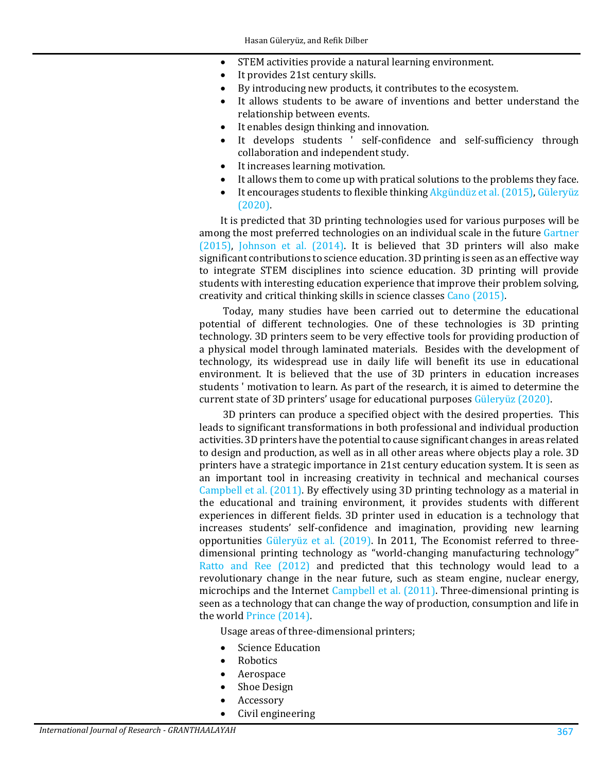- STEM activities provide a natural learning environment.
- It provides 21st century skills.
- By introducing new products, it contributes to the ecosystem.
- It allows students to be aware of inventions and better understand the relationship between events.
- It enables design thinking and innovation.
- It develops students ' self-confidence and self-sufficiency through collaboration and independent study.
- It increases learning motivation.
- It allows them to come up with pratical solutions to the problems they face.
- It encourages students to flexible thinkin[g Akgündüz et al. \(2015\),](#page-10-2) Güleryüz [\(2020\).](#page-11-4)

It is predicted that 3D printing technologies used for various purposes will be among the most preferred technologies on an individual scale in the futur[e Gartner](#page-11-5)  [\(2015\),](#page-11-5) [Johnson et al. \(2014\).](#page-12-3) It is believed that 3D printers will also make significant contributions to science education. 3D printing is seen as an effective way to integrate STEM disciplines into science education. 3D printing will provide students with interesting education experience that improve their problem solving, creativity and critical thinking skills in science classes [Cano \(2015\).](#page-11-6)

Today, many studies have been carried out to determine the educational potential of different technologies. One of these technologies is 3D printing technology. 3D printers seem to be very effective tools for providing production of a physical model through laminated materials. Besides with the development of technology, its widespread use in daily life will benefit its use in educational environment. It is believed that the use of 3D printers in education increases students ' motivation to learn. As part of the research, it is aimed to determine the current state of 3D printers' usage for educational purposes [Güleryüz \(2020\).](#page-11-4)

3D printers can produce a specified object with the desired properties. This leads to significant transformations in both professional and individual production activities. 3D printers have the potential to cause significant changes in areas related to design and production, as well as in all other areas where objects play a role. 3D printers have a strategic importance in 21st century education system. It is seen as an important tool in increasing creativity in technical and mechanical courses [Campbell et al. \(2011\).](#page-11-7) By effectively using 3D printing technology as a material in the educational and training environment, it provides students with different experiences in different fields. 3D printer used in education is a technology that increases students' self-confidence and imagination, providing new learning opportunities [Güleryüz et al. \(2019\).](#page-11-8) In 2011, The Economist referred to threedimensional printing technology as "world-changing manufacturing technology" Ratto [and Ree \(2012\)](#page-12-4) and predicted that this technology would lead to a revolutionary change in the near future, such as steam engine, nuclear energy, microchips and the Internet [Campbell et al. \(2011\).](#page-11-7) Three-dimensional printing is seen as a technology that can change the way of production, consumption and life in the worl[d Prince \(2014\).](#page-12-5)

Usage areas of three-dimensional printers;

- Science Education
- Robotics
- Aerospace
- Shoe Design
- Accessory
- Civil engineering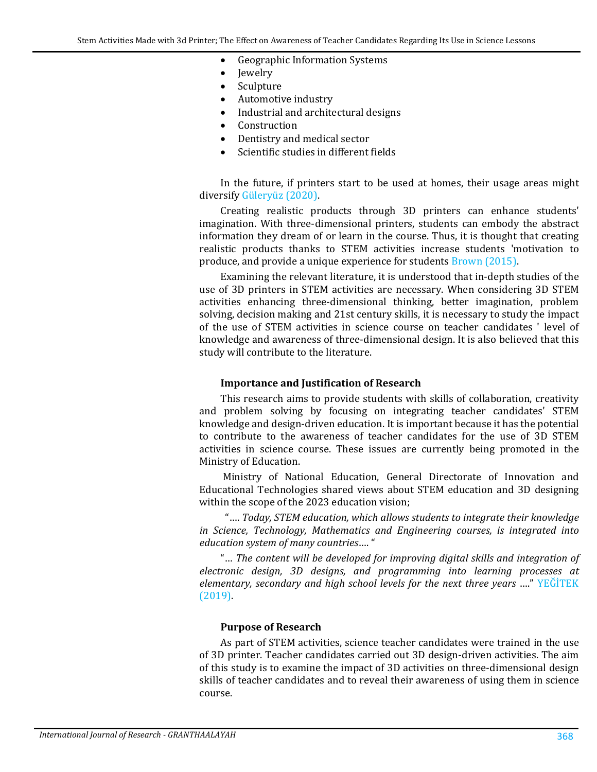- Geographic Information Systems
- Jewelry
- Sculpture
- Automotive industry
- Industrial and architectural designs
- Construction
- Dentistry and medical sector
- Scientific studies in different fields

In the future, if printers start to be used at homes, their usage areas might diversify [Güleryüz \(2020\).](#page-11-4)

Creating realistic products through 3D printers can enhance students' imagination. With three-dimensional printers, students can embody the abstract information they dream of or learn in the course. Thus, it is thought that creating realistic products thanks to STEM activities increase students 'motivation to produce, and provide a unique experience for students [Brown \(2015\).](#page-11-9)

Examining the relevant literature, it is understood that in-depth studies of the use of 3D printers in STEM activities are necessary. When considering 3D STEM activities enhancing three-dimensional thinking, better imagination, problem solving, decision making and 21st century skills, it is necessary to study the impact of the use of STEM activities in science course on teacher candidates ' level of knowledge and awareness of three-dimensional design. It is also believed that this study will contribute to the literature.

#### **Importance and Justification of Research**

This research aims to provide students with skills of collaboration, creativity and problem solving by focusing on integrating teacher candidates' STEM knowledge and design-driven education. It is important because it has the potential to contribute to the awareness of teacher candidates for the use of 3D STEM activities in science course. These issues are currently being promoted in the Ministry of Education.

Ministry of National Education, General Directorate of Innovation and Educational Technologies shared views about STEM education and 3D designing within the scope of the 2023 education vision;

 "…. *Today, STEM education, which allows students to integrate their knowledge in Science, Technology, Mathematics and Engineering courses, is integrated into education system of many countries*…. "

"… *The content will be developed for improving digital skills and integration of electronic design, 3D designs, and programming into learning processes at elementary, secondary and high school levels for the next three years* …." [YEĞİTEK](#page-12-6)  [\(2019\).](#page-12-6)

#### **Purpose of Research**

As part of STEM activities, science teacher candidates were trained in the use of 3D printer. Teacher candidates carried out 3D design-driven activities. The aim of this study is to examine the impact of 3D activities on three-dimensional design skills of teacher candidates and to reveal their awareness of using them in science course.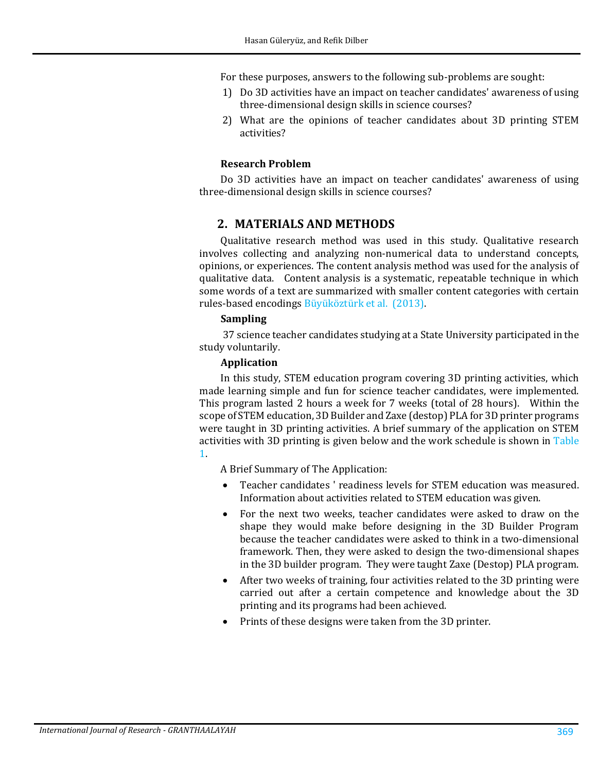For these purposes, answers to the following sub-problems are sought:

- 1) Do 3D activities have an impact on teacher candidates' awareness of using three-dimensional design skills in science courses?
- 2) What are the opinions of teacher candidates about 3D printing STEM activities?

## **Research Problem**

Do 3D activities have an impact on teacher candidates' awareness of using three-dimensional design skills in science courses?

## **2. MATERIALS AND METHODS**

Qualitative research method was used in this study. Qualitative research involves collecting and analyzing non-numerical data to understand concepts, opinions, or experiences. The content analysis method was used for the analysis of qualitative data. Content analysis is a systematic, repeatable technique in which some words of a text are summarized with smaller content categories with certain rules-based encodings [Büyüköztürk et al. \(2013\).](#page-11-10) 

### **Sampling**

37 science teacher candidates studying at a State University participated in the study voluntarily.

#### **Application**

In this study, STEM education program covering 3D printing activities, which made learning simple and fun for science teacher candidates, were implemented. This program lasted 2 hours a week for 7 weeks (total of 28 hours). Within the scope of STEM education, 3D Builder and Zaxe (destop) PLA for 3D printer programs were taught in 3D printing activities. A brief summary of the application on STEM activities with 3D printing is given below and the work schedule is shown in [Table](#page-4-0)  [1.](#page-4-0)

A Brief Summary of The Application:

- Teacher candidates ' readiness levels for STEM education was measured. Information about activities related to STEM education was given.
- For the next two weeks, teacher candidates were asked to draw on the shape they would make before designing in the 3D Builder Program because the teacher candidates were asked to think in a two-dimensional framework. Then, they were asked to design the two-dimensional shapes in the 3D builder program. They were taught Zaxe (Destop) PLA program.
- After two weeks of training, four activities related to the 3D printing were carried out after a certain competence and knowledge about the 3D printing and its programs had been achieved.
- Prints of these designs were taken from the 3D printer.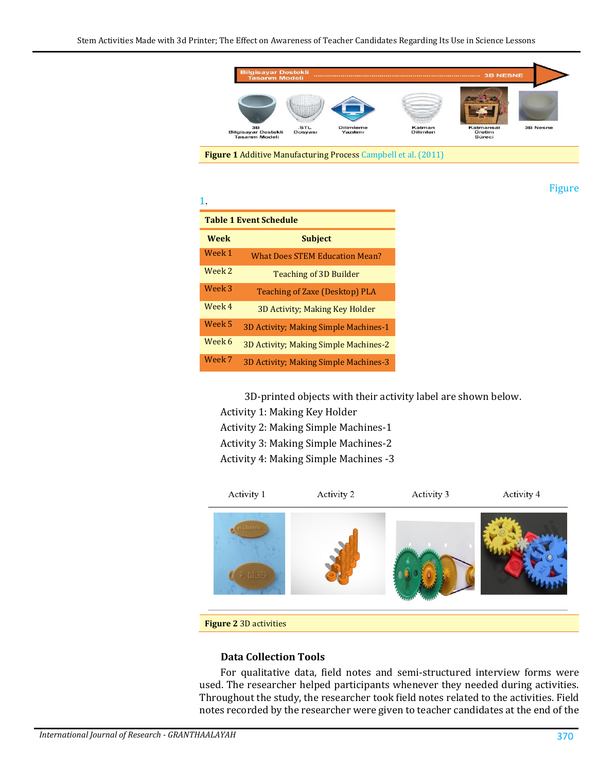

<span id="page-4-1"></span>**Figure 1** Additive Manufacturing Process [Campbell et al. \(2011\)](#page-11-7)

[Figure](#page-4-1) 

<span id="page-4-0"></span>

| <b>Table 1 Event Schedule</b> |                                       |  |  |
|-------------------------------|---------------------------------------|--|--|
| <b>Week</b>                   | <b>Subject</b>                        |  |  |
| Week 1                        | <b>What Does STEM Education Mean?</b> |  |  |
| Week 2                        | <b>Teaching of 3D Builder</b>         |  |  |
| Week 3                        | Teaching of Zaxe (Desktop) PLA        |  |  |
| Week 4                        | 3D Activity; Making Key Holder        |  |  |
| Week 5                        | 3D Activity; Making Simple Machines-1 |  |  |
| Week 6                        | 3D Activity; Making Simple Machines-2 |  |  |
| Week 7                        | 3D Activity; Making Simple Machines-3 |  |  |

[1.](#page-4-1)

3D-printed objects with their activity label are shown below.

Activity 1: Making Key Holder

Activity 2: Making Simple Machines-1

Activity 3: Making Simple Machines-2

Activity 4: Making Simple Machines -3



**Figure 2** 3D activities

#### **Data Collection Tools**

For qualitative data, field notes and semi-structured interview forms were used. The researcher helped participants whenever they needed during activities. Throughout the study, the researcher took field notes related to the activities. Field notes recorded by the researcher were given to teacher candidates at the end of the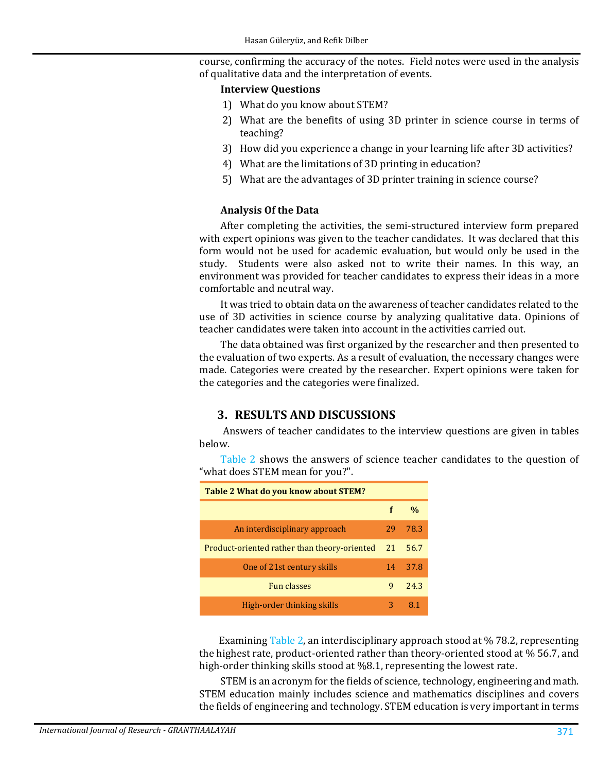course, confirming the accuracy of the notes. Field notes were used in the analysis of qualitative data and the interpretation of events.

#### **Interview Questions**

- 1) What do you know about STEM?
- 2) What are the benefits of using 3D printer in science course in terms of teaching?
- 3) How did you experience a change in your learning life after 3D activities?
- 4) What are the limitations of 3D printing in education?
- 5) What are the advantages of 3D printer training in science course?

### **Analysis Of the Data**

After completing the activities, the semi-structured interview form prepared with expert opinions was given to the teacher candidates. It was declared that this form would not be used for academic evaluation, but would only be used in the study. Students were also asked not to write their names. In this way, an environment was provided for teacher candidates to express their ideas in a more comfortable and neutral way.

It was tried to obtain data on the awareness of teacher candidates related to the use of 3D activities in science course by analyzing qualitative data. Opinions of teacher candidates were taken into account in the activities carried out.

The data obtained was first organized by the researcher and then presented to the evaluation of two experts. As a result of evaluation, the necessary changes were made. Categories were created by the researcher. Expert opinions were taken for the categories and the categories were finalized.

## **3. RESULTS AND DISCUSSIONS**

Answers of teacher candidates to the interview questions are given in tables below.

<span id="page-5-0"></span>

[Table 2](#page-5-0) shows the answers of science teacher candidates to the question of "what does STEM mean for you?".

 Examining [Table 2,](#page-5-0) an interdisciplinary approach stood at % 78.2, representing the highest rate, product-oriented rather than theory-oriented stood at % 56.7, and high-order thinking skills stood at %8.1, representing the lowest rate.

STEM is an acronym for the fields of science, technology, engineering and math. STEM education mainly includes science and mathematics disciplines and covers the fields of engineering and technology. STEM education is very important in terms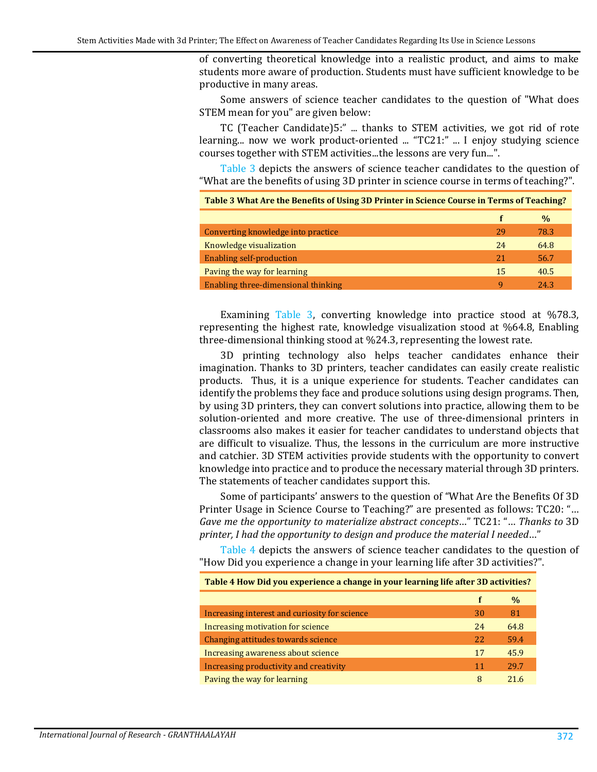of converting theoretical knowledge into a realistic product, and aims to make students more aware of production. Students must have sufficient knowledge to be productive in many areas.

Some answers of science teacher candidates to the question of "What does STEM mean for you" are given below:

TC (Teacher Candidate)5:" ... thanks to STEM activities, we got rid of rote learning... now we work product-oriented ... "TC21:" ... I enjoy studying science courses together with STEM activities...the lessons are very fun...".

[Table 3](#page-6-0) depicts the answers of science teacher candidates to the question of "What are the benefits of using 3D printer in science course in terms of teaching?".

<span id="page-6-0"></span>

| Table 3 What Are the Benefits of Using 3D Printer in Science Course in Terms of Teaching? |    |               |  |  |
|-------------------------------------------------------------------------------------------|----|---------------|--|--|
|                                                                                           |    | $\frac{0}{0}$ |  |  |
| Converting knowledge into practice                                                        | 29 | 78.3          |  |  |
| Knowledge visualization                                                                   | 24 | 64.8          |  |  |
| <b>Enabling self-production</b>                                                           | 21 | 56.7          |  |  |
| Paving the way for learning                                                               | 15 | 40.5          |  |  |
| Enabling three-dimensional thinking                                                       | q  | 24.3          |  |  |
|                                                                                           |    |               |  |  |

Examining [Table 3,](#page-6-0) converting knowledge into practice stood at %78.3, representing the highest rate, knowledge visualization stood at %64.8, Enabling three-dimensional thinking stood at %24.3, representing the lowest rate.

3D printing technology also helps teacher candidates enhance their imagination. Thanks to 3D printers, teacher candidates can easily create realistic products. Thus, it is a unique experience for students. Teacher candidates can identify the problems they face and produce solutions using design programs. Then, by using 3D printers, they can convert solutions into practice, allowing them to be solution-oriented and more creative. The use of three-dimensional printers in classrooms also makes it easier for teacher candidates to understand objects that are difficult to visualize. Thus, the lessons in the curriculum are more instructive and catchier. 3D STEM activities provide students with the opportunity to convert knowledge into practice and to produce the necessary material through 3D printers. The statements of teacher candidates support this.

Some of participants' answers to the question of "What Are the Benefits Of 3D Printer Usage in Science Course to Teaching?" are presented as follows: TC20: "… *Gave me the opportunity to materialize abstract concepts*…" TC21: "… *Thanks to* 3D *printer, I had the opportunity to design and produce the material I needed*…"

[Table 4](#page-6-1) depicts the answers of science teacher candidates to the question of "How Did you experience a change in your learning life after 3D activities?".

<span id="page-6-1"></span>

| Table 4 How Did you experience a change in your learning life after 3D activities? |    |      |  |
|------------------------------------------------------------------------------------|----|------|--|
|                                                                                    | f  | $\%$ |  |
| Increasing interest and curiosity for science                                      | 30 | 81   |  |
| Increasing motivation for science                                                  | 24 | 64.8 |  |
| Changing attitudes towards science                                                 | 22 | 59.4 |  |
| Increasing awareness about science                                                 | 17 | 45.9 |  |
| Increasing productivity and creativity                                             |    | 29.7 |  |
| Paving the way for learning                                                        | 8  | 21 G |  |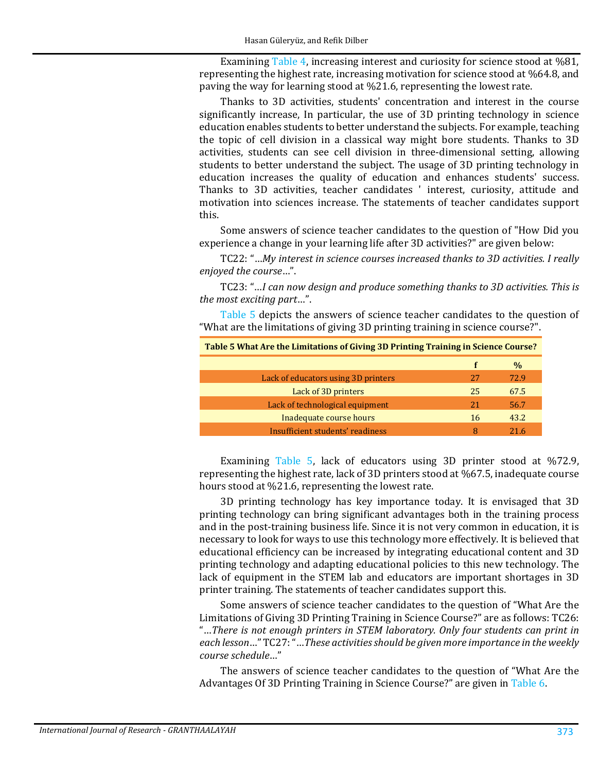Examining [Table 4,](#page-6-1) increasing interest and curiosity for science stood at %81, representing the highest rate, increasing motivation for science stood at %64.8, and paving the way for learning stood at %21.6, representing the lowest rate.

Thanks to 3D activities, students' concentration and interest in the course significantly increase, In particular, the use of 3D printing technology in science education enables students to better understand the subjects. For example, teaching the topic of cell division in a classical way might bore students. Thanks to 3D activities, students can see cell division in three-dimensional setting, allowing students to better understand the subject. The usage of 3D printing technology in education increases the quality of education and enhances students' success. Thanks to 3D activities, teacher candidates ' interest, curiosity, attitude and motivation into sciences increase. The statements of teacher candidates support this.

Some answers of science teacher candidates to the question of "How Did you experience a change in your learning life after 3D activities?" are given below:

TC22: "…*My interest in science courses increased thanks to 3D activities. I really enjoyed the course*…".

TC23: "…*I can now design and produce something thanks to 3D activities. This is the most exciting part*…".

[Table 5](#page-7-0) depicts the answers of science teacher candidates to the question of "What are the limitations of giving 3D printing training in science course?".

<span id="page-7-0"></span>

| Table 5 What Are the Limitations of Giving 3D Printing Training in Science Course? |    |      |  |
|------------------------------------------------------------------------------------|----|------|--|
|                                                                                    | f  | %    |  |
| Lack of educators using 3D printers                                                | 27 | 72.9 |  |
| Lack of 3D printers                                                                | 25 | 67.5 |  |
| Lack of technological equipment                                                    | 21 | 56.7 |  |
| Inadequate course hours                                                            | 16 | 43.2 |  |
| Insufficient students' readiness                                                   | 8  | 21.6 |  |

Examining [Table 5,](#page-7-0) lack of educators using 3D printer stood at %72.9, representing the highest rate, lack of 3D printers stood at %67.5, inadequate course hours stood at %21.6, representing the lowest rate.

3D printing technology has key importance today. It is envisaged that 3D printing technology can bring significant advantages both in the training process and in the post-training business life. Since it is not very common in education, it is necessary to look for ways to use this technology more effectively. It is believed that educational efficiency can be increased by integrating educational content and 3D printing technology and adapting educational policies to this new technology. The lack of equipment in the STEM lab and educators are important shortages in 3D printer training. The statements of teacher candidates support this.

Some answers of science teacher candidates to the question of "What Are the Limitations of Giving 3D Printing Training in Science Course?" are as follows: TC26: "…*There is not enough printers in STEM laboratory. Only four students can print in each lesson*…" TC27: "…*These activities should be given more importance in the weekly course schedule*…"

The answers of science teacher candidates to the question of "What Are the Advantages Of 3D Printing Training in Science Course?" are given in [Table 6.](#page-8-0)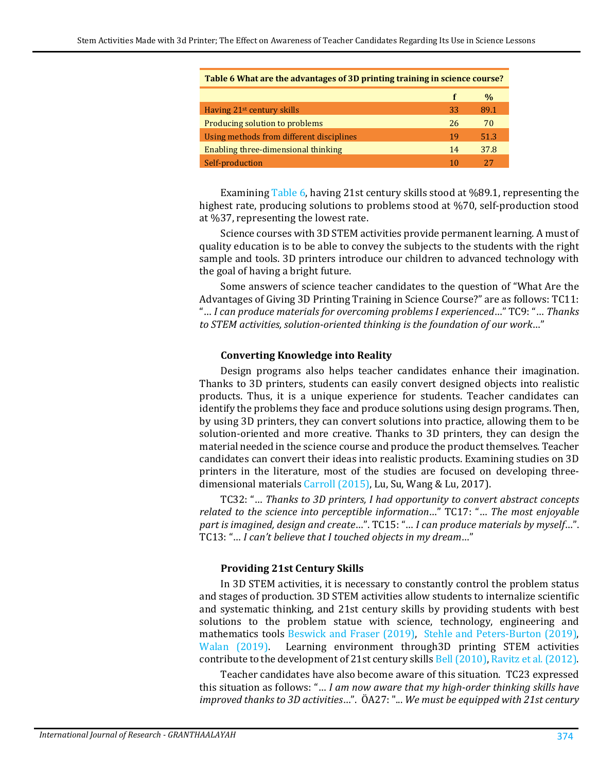| <u>rapic o what are the auvantages or sp printing training in science tourse.</u> |    |               |
|-----------------------------------------------------------------------------------|----|---------------|
|                                                                                   |    | $\frac{0}{0}$ |
| Having 21 <sup>st</sup> century skills                                            | 33 | 89.1          |
| Producing solution to problems                                                    | 26 | 70            |
| Using methods from different disciplines                                          | 19 | 51.3          |
| Enabling three-dimensional thinking                                               |    | 37.8          |
| Self-production                                                                   |    | 27            |

<span id="page-8-0"></span>**Table 6 What are the advantages of 3D printing training in science course?**

Examining [Table 6,](#page-8-0) having 21st century skills stood at %89.1, representing the highest rate, producing solutions to problems stood at %70, self-production stood at %37, representing the lowest rate.

Science courses with 3D STEM activities provide permanent learning. A must of quality education is to be able to convey the subjects to the students with the right sample and tools. 3D printers introduce our children to advanced technology with the goal of having a bright future.

Some answers of science teacher candidates to the question of "What Are the Advantages of Giving 3D Printing Training in Science Course?" are as follows: TC11: "… *I can produce materials for overcoming problems I experienced*…" TC9: "… *Thanks to STEM activities, solution-oriented thinking is the foundation of our work*…"

#### **Converting Knowledge into Reality**

Design programs also helps teacher candidates enhance their imagination. Thanks to 3D printers, students can easily convert designed objects into realistic products. Thus, it is a unique experience for students. Teacher candidates can identify the problems they face and produce solutions using design programs. Then, by using 3D printers, they can convert solutions into practice, allowing them to be solution-oriented and more creative. Thanks to 3D printers, they can design the material needed in the science course and produce the product themselves. Teacher candidates can convert their ideas into realistic products. Examining studies on 3D printers in the literature, most of the studies are focused on developing threedimensional materials [Carroll \(2015\),](#page-11-11) Lu, Su, Wang & Lu, 2017).

TC32: "… *Thanks to 3D printers, I had opportunity to convert abstract concepts related to the science into perceptible information*…" TC17: "… *The most enjoyable part is imagined, design and create*…". TC15: "… *I can produce materials by myself*…". TC13: "… *I can't believe that I touched objects in my dream*…"

### **Providing 21st Century Skills**

In 3D STEM activities, it is necessary to constantly control the problem status and stages of production. 3D STEM activities allow students to internalize scientific and systematic thinking, and 21st century skills by providing students with best solutions to the problem statue with science, technology, engineering and mathematics tools [Beswick and Fraser \(2019\),](#page-11-12) [Stehle and Peters-Burton \(2019\),](#page-12-7) Walan (2019). Learning environment through 3D printing STEM activities Learning environment through3D printing STEM activities contribute to the development of 21st century skills [Bell \(2010\),](#page-10-3) [Ravitz et al. \(2012\).](#page-12-9)

Teacher candidates have also become aware of this situation. TC23 expressed this situation as follows: "… *I am now aware that my high-order thinking skills have improved thanks to 3D activities*…". ÖA27: "... *We must be equipped with 21st century*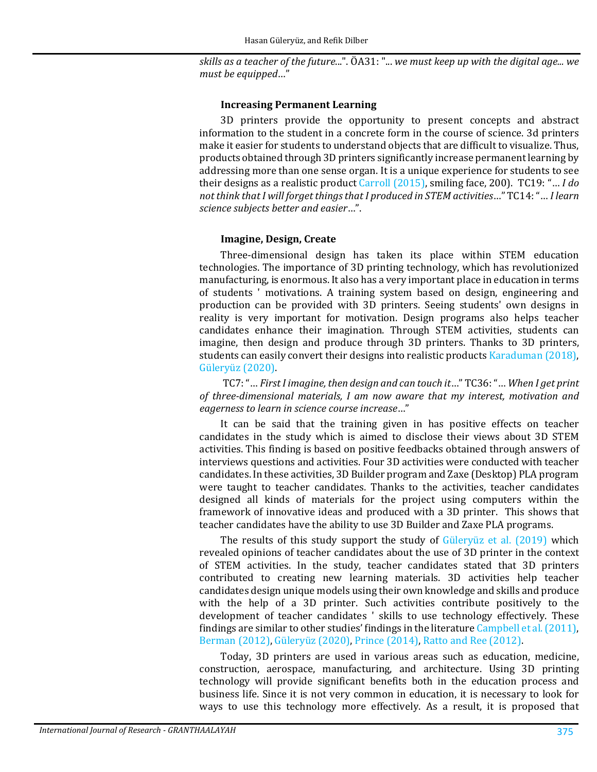*skills as a teacher of the future*...". ÖA31: "... *we must keep up with the digital age... we must be equipped*…"

#### **Increasing Permanent Learning**

3D printers provide the opportunity to present concepts and abstract information to the student in a concrete form in the course of science. 3d printers make it easier for students to understand objects that are difficult to visualize. Thus, products obtained through 3D printers significantly increase permanent learning by addressing more than one sense organ. It is a unique experience for students to see their designs as a realistic produc[t Carroll \(2015\),](#page-11-11) smiling face, 200). TC19: "… *I do not think that I will forget things that I produced in STEM activities*…" TC14: "… *I learn science subjects better and easier*…".

### **Imagine, Design, Create**

Three-dimensional design has taken its place within STEM education technologies. The importance of 3D printing technology, which has revolutionized manufacturing, is enormous. It also has a very important place in education in terms of students ' motivations. A training system based on design, engineering and production can be provided with 3D printers. Seeing students' own designs in reality is very important for motivation. Design programs also helps teacher candidates enhance their imagination. Through STEM activities, students can imagine, then design and produce through 3D printers. Thanks to 3D printers, students can easily convert their designs into realistic products [Karaduman \(2018\)](#page-12-10), [Güleryüz \(2020\).](#page-11-4)

TC7: "… *First I imagine, then design and can touch it*…" TC36: "… *When I get print of three-dimensional materials, I am now aware that my interest, motivation and eagerness to learn in science course increase*…"

It can be said that the training given in has positive effects on teacher candidates in the study which is aimed to disclose their views about 3D STEM activities. This finding is based on positive feedbacks obtained through answers of interviews questions and activities. Four 3D activities were conducted with teacher candidates. In these activities, 3D Builder program and Zaxe (Desktop) PLA program were taught to teacher candidates. Thanks to the activities, teacher candidates designed all kinds of materials for the project using computers within the framework of innovative ideas and produced with a 3D printer. This shows that teacher candidates have the ability to use 3D Builder and Zaxe PLA programs.

The results of this study support the study of [Güleryüz et al. \(2019\)](#page-11-8) which revealed opinions of teacher candidates about the use of 3D printer in the context of STEM activities. In the study, teacher candidates stated that 3D printers contributed to creating new learning materials. 3D activities help teacher candidates design unique models using their own knowledge and skills and produce with the help of a 3D printer. Such activities contribute positively to the development of teacher candidates ' skills to use technology effectively. These findings are similar to other studies' findings in the literatur[e Campbell et al. \(2011\),](#page-11-7) [Berman \(2012\),](#page-11-13) [Güleryüz \(2020\),](#page-11-4) [Prince \(2014\),](#page-12-5) [Ratto and Ree \(2012\).](#page-12-4)

Today, 3D printers are used in various areas such as education, medicine, construction, aerospace, manufacturing, and architecture. Using 3D printing technology will provide significant benefits both in the education process and business life. Since it is not very common in education, it is necessary to look for ways to use this technology more effectively. As a result, it is proposed that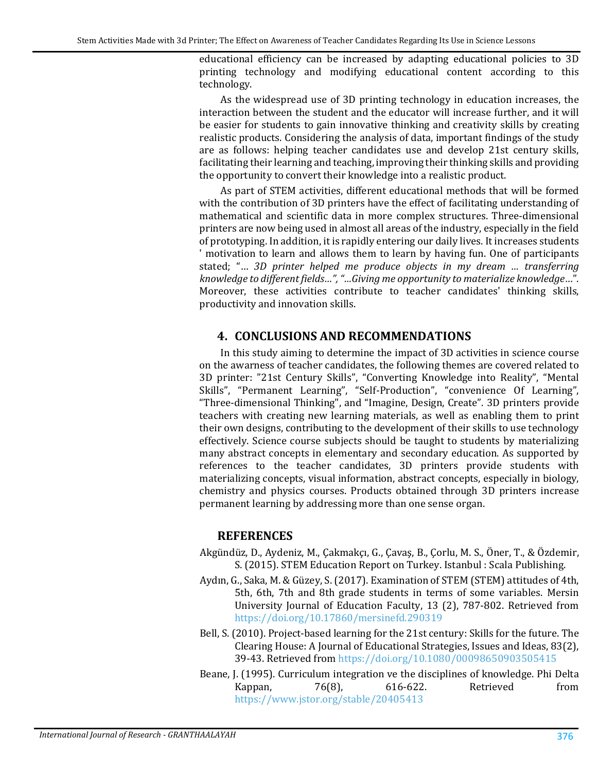educational efficiency can be increased by adapting educational policies to 3D printing technology and modifying educational content according to this technology.

As the widespread use of 3D printing technology in education increases, the interaction between the student and the educator will increase further, and it will be easier for students to gain innovative thinking and creativity skills by creating realistic products. Considering the analysis of data, important findings of the study are as follows: helping teacher candidates use and develop 21st century skills, facilitating their learning and teaching, improving their thinking skills and providing the opportunity to convert their knowledge into a realistic product.

As part of STEM activities, different educational methods that will be formed with the contribution of 3D printers have the effect of facilitating understanding of mathematical and scientific data in more complex structures. Three-dimensional printers are now being used in almost all areas of the industry, especially in the field of prototyping. In addition, it is rapidly entering our daily lives. It increases students ' motivation to learn and allows them to learn by having fun. One of participants stated; "… *3D printer helped me produce objects in my dream … transferring knowledge to different fields…", "…Giving me opportunity to materialize knowledge*…". Moreover, these activities contribute to teacher candidates' thinking skills, productivity and innovation skills.

## **4. CONCLUSIONS AND RECOMMENDATIONS**

In this study aiming to determine the impact of 3D activities in science course on the awarness of teacher candidates, the following themes are covered related to 3D printer: "21st Century Skills", "Converting Knowledge into Reality", "Mental Skills", "Permanent Learning", "Self-Production", "convenience Of Learning", "Three-dimensional Thinking", and "Imagine, Design, Create". 3D printers provide teachers with creating new learning materials, as well as enabling them to print their own designs, contributing to the development of their skills to use technology effectively. Science course subjects should be taught to students by materializing many abstract concepts in elementary and secondary education. As supported by references to the teacher candidates, 3D printers provide students with materializing concepts, visual information, abstract concepts, especially in biology, chemistry and physics courses. Products obtained through 3D printers increase permanent learning by addressing more than one sense organ.

## **REFERENCES**

- <span id="page-10-2"></span>Akgündüz, D., Aydeniz, M., Çakmakçı, G., Çavaş, B., Çorlu, M. S., Öner, T., & Özdemir, S. (2015). STEM Education Report on Turkey. Istanbul : Scala Publishing.
- <span id="page-10-0"></span>Aydın, G., Saka, M. & Güzey, S. (2017). Examination of STEM (STEM) attitudes of 4th, 5th, 6th, 7th and 8th grade students in terms of some variables. Mersin University Journal of Education Faculty, 13 (2), 787-802. Retrieved from <https://doi.org/10.17860/mersinefd.290319>
- <span id="page-10-3"></span>Bell, S. (2010). Project-based learning for the 21st century: Skills for the future. The Clearing House: A Journal of Educational Strategies, Issues and Ideas, 83(2), 39-43. Retrieved from <https://doi.org/10.1080/00098650903505415>
- <span id="page-10-1"></span>Beane, J. (1995). Curriculum integration ve the disciplines of knowledge. Phi Delta<br>Kappan. 76(8). 616-622. Retrieved from Kappan, 76(8), 616-622. Retrieved from <https://www.jstor.org/stable/20405413>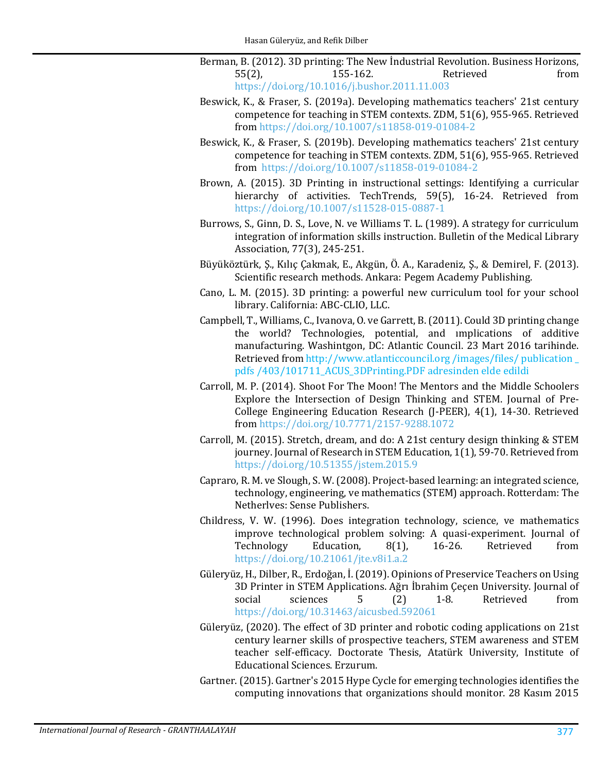<span id="page-11-13"></span>Berman, B. (2012). 3D printing: The New Industrial Revolution. Business Horizons,<br>55(2), 155-162. Retrieved from 55(2), 155-162. Retrieved from <https://doi.org/10.1016/j.bushor.2011.11.003>

- <span id="page-11-12"></span>Beswick, K., & Fraser, S. (2019a). Developing mathematics teachers' 21st century competence for teaching in STEM contexts. ZDM, 51(6), 955-965. Retrieved from <https://doi.org/10.1007/s11858-019-01084-2>
- Beswick, K., & Fraser, S. (2019b). Developing mathematics teachers' 21st century competence for teaching in STEM contexts. ZDM, 51(6), 955-965. Retrieved from<https://doi.org/10.1007/s11858-019-01084-2>
- <span id="page-11-9"></span>Brown, A. (2015). 3D Printing in instructional settings: Identifying a curricular hierarchy of activities. TechTrends, 59(5), 16-24. Retrieved from <https://doi.org/10.1007/s11528-015-0887-1>
- <span id="page-11-1"></span>Burrows, S., Ginn, D. S., Love, N. ve Williams T. L. (1989). A strategy for curriculum integration of information skills instruction. Bulletin of the Medical Library Association, 77(3), 245-251.
- <span id="page-11-10"></span>Büyüköztürk, Ş., Kılıç Çakmak, E., Akgün, Ö. A., Karadeniz, Ş., & Demirel, F. (2013). Scientific research methods. Ankara: Pegem Academy Publishing.
- <span id="page-11-6"></span>Cano, L. M. (2015). 3D printing: a powerful new curriculum tool for your school library. California: ABC-CLIO, LLC.
- <span id="page-11-7"></span>Campbell, T., Williams, C., Ivanova, O. ve Garrett, B. (2011). Could 3D printing change the world? Technologies, potential, and ımplications of additive manufacturing. Washintgon, DC: Atlantic Council. 23 Mart 2016 tarihinde. Retrieved from http://www.atlanticcouncil.org /images/files/ publication \_ pdfs /403/101711\_ACUS\_3DPrinting.PDF adresinden elde edildi
- <span id="page-11-0"></span>Carroll, M. P. (2014). Shoot For The Moon! The Mentors and the Middle Schoolers Explore the Intersection of Design Thinking and STEM. Journal of Pre-College Engineering Education Research (J-PEER), 4(1), 14-30. Retrieved from <https://doi.org/10.7771/2157-9288.1072>
- <span id="page-11-11"></span>Carroll, M. (2015). Stretch, dream, and do: A 21st century design thinking & STEM journey. Journal of Research in STEM Education, 1(1), 59-70. Retrieved from <https://doi.org/10.51355/jstem.2015.9>
- <span id="page-11-2"></span>Capraro, R. M. ve Slough, S. W. (2008). Project-based learning: an integrated science, technology, engineering, ve mathematics (STEM) approach. Rotterdam: The Netherlves: Sense Publishers.
- <span id="page-11-3"></span>Childress, V. W. (1996). Does integration technology, science, ve mathematics improve technological problem solving: A quasi-experiment. Journal of Technology Education, 8(1), 16-26. Retrieved from Technology <https://doi.org/10.21061/jte.v8i1.a.2>
- <span id="page-11-8"></span>Güleryüz, H., Dilber, R., Erdoğan, İ. (2019). Opinions of Preservice Teachers on Using 3D Printer in STEM Applications. Ağrı İbrahim Çeçen University. Journal of social sciences 5 (2) 1-8. Retrieved from social sciences 5 (2) 1-8. Retrieved from <https://doi.org/10.31463/aicusbed.592061>
- <span id="page-11-4"></span>Güleryüz, (2020). The effect of 3D printer and robotic coding applications on 21st century learner skills of prospective teachers, STEM awareness and STEM teacher self-efficacy. Doctorate Thesis, Atatürk University, Institute of Educational Sciences. Erzurum.
- <span id="page-11-5"></span>Gartner. (2015). Gartner's 2015 Hype Cycle for emerging technologies identifies the computing innovations that organizations should monitor. 28 Kasım 2015